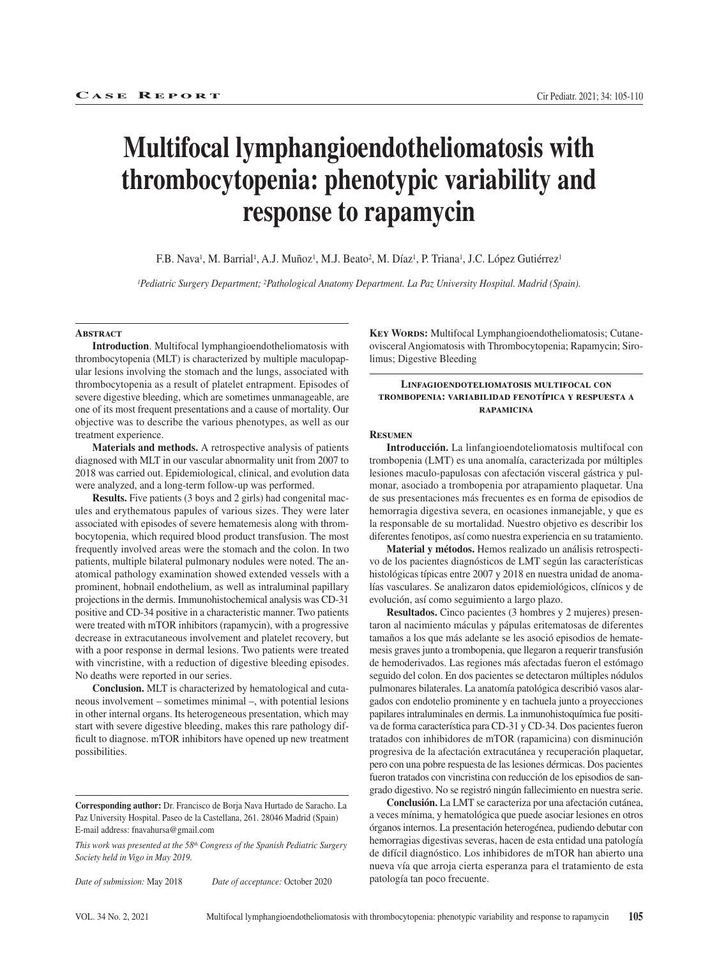# **Multifocal lymphangioendotheliomatosis with thrombocytopenia: phenotypic variability and response to rapamycin**

F.B. Nava<sup>1</sup>, M. Barrial<sup>1</sup>, A.J. Muñoz<sup>1</sup>, M.J. Beato<sup>2</sup>, M. Díaz<sup>1</sup>, P. Triana<sup>1</sup>, J.C. López Gutiérrez<sup>1</sup>

*1Pediatric Surgery Department; 2Pathological Anatomy Department. La Paz University Hospital. Madrid (Spain).*

#### **Abstract**

**Introduction**. Multifocal lymphangioendotheliomatosis with thrombocytopenia (MLT) is characterized by multiple maculopapular lesions involving the stomach and the lungs, associated with thrombocytopenia as a result of platelet entrapment. Episodes of severe digestive bleeding, which are sometimes unmanageable, are one of its most frequent presentations and a cause of mortality. Our objective was to describe the various phenotypes, as well as our treatment experience.

**Materials and methods.** A retrospective analysis of patients diagnosed with MLT in our vascular abnormality unit from 2007 to 2018 was carried out. Epidemiological, clinical, and evolution data were analyzed, and a long-term follow-up was performed.

**Results.** Five patients (3 boys and 2 girls) had congenital macules and erythematous papules of various sizes. They were later associated with episodes of severe hematemesis along with thrombocytopenia, which required blood product transfusion. The most frequently involved areas were the stomach and the colon. In two patients, multiple bilateral pulmonary nodules were noted. The anatomical pathology examination showed extended vessels with a prominent, hobnail endothelium, as well as intraluminal papillary projections in the dermis. Immunohistochemical analysis was CD-31 positive and CD-34 positive in a characteristic manner. Two patients were treated with mTOR inhibitors (rapamycin), with a progressive decrease in extracutaneous involvement and platelet recovery, but with a poor response in dermal lesions. Two patients were treated with vincristine, with a reduction of digestive bleeding episodes. No deaths were reported in our series.

**Conclusion.** MLT is characterized by hematological and cutaneous involvement – sometimes minimal –, with potential lesions in other internal organs. Its heterogeneous presentation, which may start with severe digestive bleeding, makes this rare pathology difficult to diagnose. mTOR inhibitors have opened up new treatment possibilities.

*This work was presented at the 58th Congress of the Spanish Pediatric Surgery Society held in Vigo in May 2019.*

*Date of submission:* May 2018 *Date of acceptance:* October 2020

**KEY WORDS:** Multifocal Lymphangioendotheliomatosis; Cutaneovisceral Angiomatosis with Thrombocytopenia; Rapamycin; Sirolimus; Digestive Bleeding

#### **Linfagioendoteliomatosis multifocal con trombopenia: variabilidad fenotípica y respuesta a rapamicina**

#### **Resumen**

**Introducción.** La linfangioendoteliomatosis multifocal con trombopenia (LMT) es una anomalía, caracterizada por múltiples lesiones maculo-papulosas con afectación visceral gástrica y pulmonar, asociado a trombopenia por atrapamiento plaquetar. Una de sus presentaciones más frecuentes es en forma de episodios de hemorragia digestiva severa, en ocasiones inmanejable, y que es la responsable de su mortalidad. Nuestro objetivo es describir los diferentes fenotipos, así como nuestra experiencia en su tratamiento.

**Material y métodos.** Hemos realizado un análisis retrospectivo de los pacientes diagnósticos de LMT según las características histológicas típicas entre 2007 y 2018 en nuestra unidad de anomalías vasculares. Se analizaron datos epidemiológicos, clínicos y de evolución, así como seguimiento a largo plazo.

**Resultados.** Cinco pacientes (3 hombres y 2 mujeres) presentaron al nacimiento máculas y pápulas eritematosas de diferentes tamaños a los que más adelante se les asoció episodios de hematemesis graves junto a trombopenia, que llegaron a requerir transfusión de hemoderivados. Las regiones más afectadas fueron el estómago seguido del colon. En dos pacientes se detectaron múltiples nódulos pulmonares bilaterales. La anatomía patológica describió vasos alargados con endotelio prominente y en tachuela junto a proyecciones papilares intraluminales en dermis. La inmunohistoquímica fue positiva de forma característica para CD-31 y CD-34. Dos pacientes fueron tratados con inhibidores de mTOR (rapamicina) con disminución progresiva de la afectación extracutánea y recuperación plaquetar, pero con una pobre respuesta de las lesiones dérmicas. Dos pacientes fueron tratados con vincristina con reducción de los episodios de sangrado digestivo. No se registró ningún fallecimiento en nuestra serie.

**Conclusión.** La LMT se caracteriza por una afectación cutánea, a veces mínima, y hematológica que puede asociar lesiones en otros órganos internos. La presentación heterogénea, pudiendo debutar con hemorragias digestivas severas, hacen de esta entidad una patología de difícil diagnóstico. Los inhibidores de mTOR han abierto una nueva vía que arroja cierta esperanza para el tratamiento de esta patología tan poco frecuente.

**Corresponding author:** Dr. Francisco de Borja Nava Hurtado de Saracho. La Paz University Hospital. Paseo de la Castellana, 261. 28046 Madrid (Spain) E-mail address: fnavahursa@gmail.com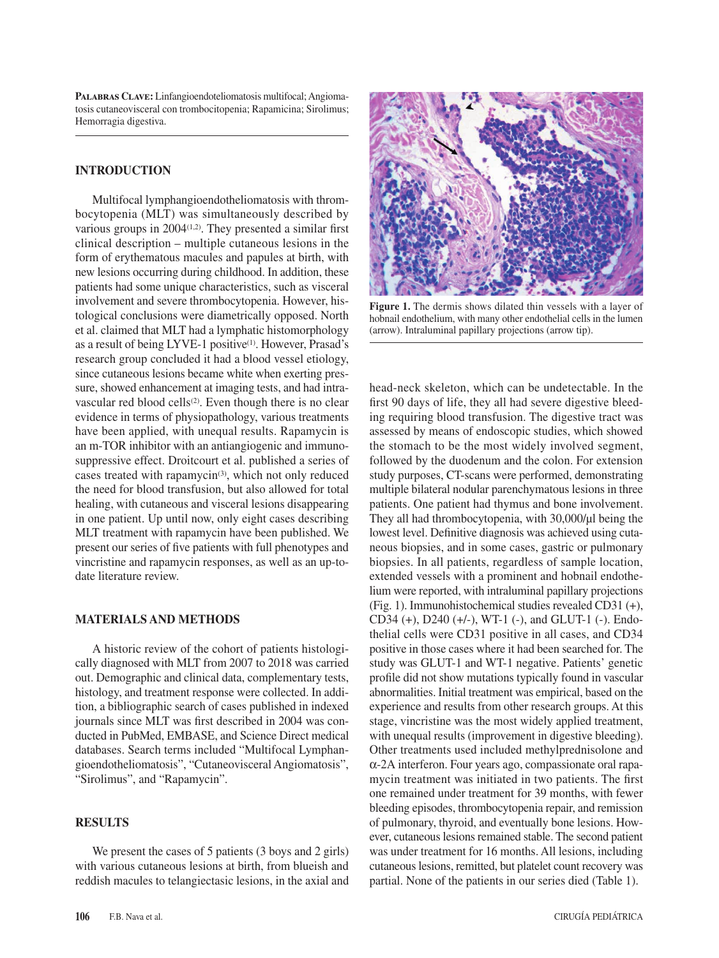**Palabras Clave:** Linfangioendoteliomatosis multifocal; Angiomatosis cutaneovisceral con trombocitopenia; Rapamicina; Sirolimus; Hemorragia digestiva.

## **INTRODUCTION**

Multifocal lymphangioendotheliomatosis with thrombocytopenia (MLT) was simultaneously described by various groups in  $2004(1,2)$ . They presented a similar first clinical description – multiple cutaneous lesions in the form of erythematous macules and papules at birth, with new lesions occurring during childhood. In addition, these patients had some unique characteristics, such as visceral involvement and severe thrombocytopenia. However, histological conclusions were diametrically opposed. North et al. claimed that MLT had a lymphatic histomorphology as a result of being LYVE-1 positive<sup>(1)</sup>. However, Prasad's research group concluded it had a blood vessel etiology, since cutaneous lesions became white when exerting pressure, showed enhancement at imaging tests, and had intravascular red blood cells<sup>(2)</sup>. Even though there is no clear evidence in terms of physiopathology, various treatments have been applied, with unequal results. Rapamycin is an m-TOR inhibitor with an antiangiogenic and immunosuppressive effect. Droitcourt et al. published a series of cases treated with rapamycin<sup>(3)</sup>, which not only reduced the need for blood transfusion, but also allowed for total healing, with cutaneous and visceral lesions disappearing in one patient. Up until now, only eight cases describing MLT treatment with rapamycin have been published. We present our series of five patients with full phenotypes and vincristine and rapamycin responses, as well as an up-todate literature review.

### **MATERIALS AND METHODS**

A historic review of the cohort of patients histologically diagnosed with MLT from 2007 to 2018 was carried out. Demographic and clinical data, complementary tests, histology, and treatment response were collected. In addition, a bibliographic search of cases published in indexed journals since MLT was first described in 2004 was conducted in PubMed, EMBASE, and Science Direct medical databases. Search terms included "Multifocal Lymphangioendotheliomatosis", "Cutaneovisceral Angiomatosis", "Sirolimus", and "Rapamycin".

# **RESULTS**

We present the cases of 5 patients (3 boys and 2 girls) with various cutaneous lesions at birth, from blueish and reddish macules to telangiectasic lesions, in the axial and



**Figure 1.** The dermis shows dilated thin vessels with a layer of hobnail endothelium, with many other endothelial cells in the lumen (arrow). Intraluminal papillary projections (arrow tip).

head-neck skeleton, which can be undetectable. In the first 90 days of life, they all had severe digestive bleeding requiring blood transfusion. The digestive tract was assessed by means of endoscopic studies, which showed the stomach to be the most widely involved segment, followed by the duodenum and the colon. For extension study purposes, CT-scans were performed, demonstrating multiple bilateral nodular parenchymatous lesions in three patients. One patient had thymus and bone involvement. They all had thrombocytopenia, with 30,000/μl being the lowest level. Definitive diagnosis was achieved using cutaneous biopsies, and in some cases, gastric or pulmonary biopsies. In all patients, regardless of sample location, extended vessels with a prominent and hobnail endothelium were reported, with intraluminal papillary projections (Fig. 1). Immunohistochemical studies revealed CD31 (+), CD34 (+), D240 (+/-), WT-1 (-), and GLUT-1 (-). Endothelial cells were CD31 positive in all cases, and CD34 positive in those cases where it had been searched for. The study was GLUT-1 and WT-1 negative. Patients' genetic profile did not show mutations typically found in vascular abnormalities. Initial treatment was empirical, based on the experience and results from other research groups. At this stage, vincristine was the most widely applied treatment, with unequal results (improvement in digestive bleeding). Other treatments used included methylprednisolone and α-2A interferon. Four years ago, compassionate oral rapamycin treatment was initiated in two patients. The first one remained under treatment for 39 months, with fewer bleeding episodes, thrombocytopenia repair, and remission of pulmonary, thyroid, and eventually bone lesions. However, cutaneous lesions remained stable. The second patient was under treatment for 16 months. All lesions, including cutaneous lesions, remitted, but platelet count recovery was partial. None of the patients in our series died (Table 1).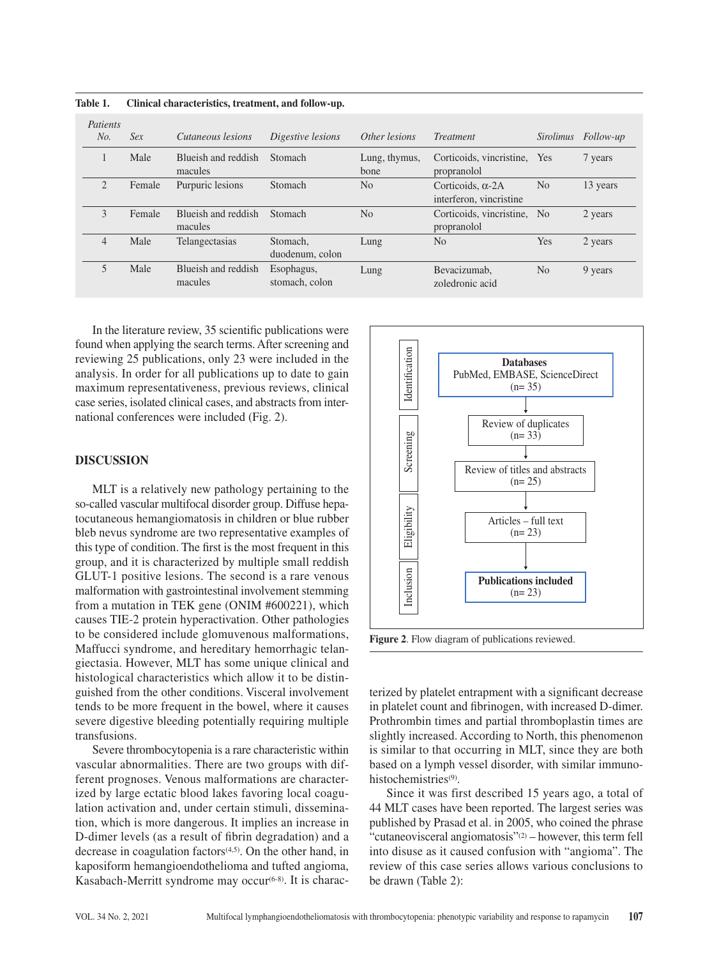**Table 1. Clinical characteristics, treatment, and follow-up.**

| Patients<br>No. | Sex    | Cutaneous lesions              | Digestive lesions            | Other lesions         | <b>Treatment</b>                                    | <i>Sirolimus</i> | <i>Follow-up</i> |
|-----------------|--------|--------------------------------|------------------------------|-----------------------|-----------------------------------------------------|------------------|------------------|
|                 | Male   | Blueish and reddish<br>macules | Stomach                      | Lung, thymus,<br>bone | Corticoids, vincristine,<br>propranolol             | Yes              | 7 years          |
| $\overline{c}$  | Female | Purpuric lesions               | Stomach                      | N <sub>o</sub>        | Corticoids. $\alpha$ -2A<br>interferon, vincristine | N <sub>0</sub>   | 13 years         |
| 3               | Female | Blueish and reddish<br>macules | Stomach                      | N <sub>0</sub>        | Corticoids, vincristine,<br>propranolol             | N <sub>0</sub>   | 2 years          |
| $\overline{4}$  | Male   | Telangectasias                 | Stomach,<br>duodenum, colon  | Lung                  | N <sub>0</sub>                                      | Yes              | 2 years          |
| 5               | Male   | Blueish and reddish<br>macules | Esophagus,<br>stomach, colon | Lung                  | Bevacizumab.<br>zoledronic acid                     | N <sub>0</sub>   | 9 years          |

In the literature review, 35 scientific publications were found when applying the search terms. After screening and reviewing 25 publications, only 23 were included in the analysis. In order for all publications up to date to gain maximum representativeness, previous reviews, clinical case series, isolated clinical cases, and abstracts from international conferences were included (Fig. 2).

#### **DISCUSSION**

MLT is a relatively new pathology pertaining to the so-called vascular multifocal disorder group. Diffuse hepatocutaneous hemangiomatosis in children or blue rubber bleb nevus syndrome are two representative examples of this type of condition. The first is the most frequent in this group, and it is characterized by multiple small reddish GLUT-1 positive lesions. The second is a rare venous malformation with gastrointestinal involvement stemming from a mutation in TEK gene (ONIM #600221), which causes TIE-2 protein hyperactivation. Other pathologies to be considered include glomuvenous malformations, Maffucci syndrome, and hereditary hemorrhagic telangiectasia. However, MLT has some unique clinical and histological characteristics which allow it to be distinguished from the other conditions. Visceral involvement tends to be more frequent in the bowel, where it causes severe digestive bleeding potentially requiring multiple transfusions.

Severe thrombocytopenia is a rare characteristic within vascular abnormalities. There are two groups with different prognoses. Venous malformations are characterized by large ectatic blood lakes favoring local coagulation activation and, under certain stimuli, dissemination, which is more dangerous. It implies an increase in D-dimer levels (as a result of fibrin degradation) and a decrease in coagulation factors $(4,5)$ . On the other hand, in kaposiform hemangioendothelioma and tufted angioma, Kasabach-Merritt syndrome may occur $(6-8)$ . It is charac-



**Figure 2**. Flow diagram of publications reviewed.

terized by platelet entrapment with a significant decrease in platelet count and fibrinogen, with increased D-dimer. Prothrombin times and partial thromboplastin times are slightly increased. According to North, this phenomenon is similar to that occurring in MLT, since they are both based on a lymph vessel disorder, with similar immunohistochemistries<sup>(9)</sup>.

Since it was first described 15 years ago, a total of 44 MLT cases have been reported. The largest series was published by Prasad et al. in 2005, who coined the phrase "cutaneovisceral angiomatosis"(2) – however, this term fell into disuse as it caused confusion with "angioma". The review of this case series allows various conclusions to be drawn (Table 2):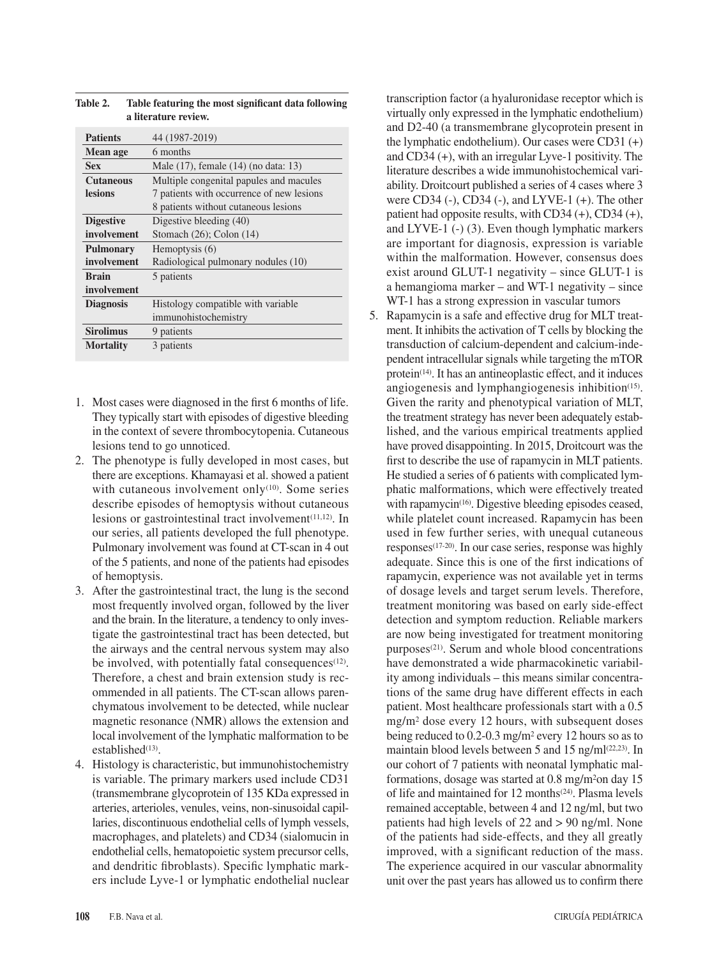| <b>Patients</b>  | 44 (1987-2019)                            |
|------------------|-------------------------------------------|
| Mean age         | 6 months                                  |
| <b>Sex</b>       | Male (17), female (14) (no data: 13)      |
| <b>Cutaneous</b> | Multiple congenital papules and macules   |
| <b>lesions</b>   | 7 patients with occurrence of new lesions |
|                  | 8 patients without cutaneous lesions      |
| <b>Digestive</b> | Digestive bleeding (40)                   |
| involvement      | Stomach $(26)$ ; Colon $(14)$             |
| <b>Pulmonary</b> | Hemoptysis (6)                            |
| involvement      | Radiological pulmonary nodules (10)       |
| <b>Brain</b>     | 5 patients                                |
| involvement      |                                           |
| <b>Diagnosis</b> | Histology compatible with variable        |
|                  | immunohistochemistry                      |
| <b>Sirolimus</b> | 9 patients                                |
| <b>Mortality</b> | 3 patients                                |
|                  |                                           |

| <b>Table 2.</b> | Table featuring the most significant data following |
|-----------------|-----------------------------------------------------|
|                 | a literature review.                                |

- 1. Most cases were diagnosed in the first 6 months of life. They typically start with episodes of digestive bleeding in the context of severe thrombocytopenia. Cutaneous lesions tend to go unnoticed.
- 2. The phenotype is fully developed in most cases, but there are exceptions. Khamayasi et al. showed a patient with cutaneous involvement only<sup>(10)</sup>. Some series describe episodes of hemoptysis without cutaneous lesions or gastrointestinal tract involvement $(11,12)$ . In our series, all patients developed the full phenotype. Pulmonary involvement was found at CT-scan in 4 out of the 5 patients, and none of the patients had episodes of hemoptysis.
- 3. After the gastrointestinal tract, the lung is the second most frequently involved organ, followed by the liver and the brain. In the literature, a tendency to only investigate the gastrointestinal tract has been detected, but the airways and the central nervous system may also be involved, with potentially fatal consequences<sup>(12)</sup>. Therefore, a chest and brain extension study is recommended in all patients. The CT-scan allows parenchymatous involvement to be detected, while nuclear magnetic resonance (NMR) allows the extension and local involvement of the lymphatic malformation to be established<sup>(13)</sup>.
- 4. Histology is characteristic, but immunohistochemistry is variable. The primary markers used include CD31 (transmembrane glycoprotein of 135 KDa expressed in arteries, arterioles, venules, veins, non-sinusoidal capillaries, discontinuous endothelial cells of lymph vessels, macrophages, and platelets) and CD34 (sialomucin in endothelial cells, hematopoietic system precursor cells, and dendritic fibroblasts). Specific lymphatic markers include Lyve-1 or lymphatic endothelial nuclear

transcription factor (a hyaluronidase receptor which is virtually only expressed in the lymphatic endothelium) and D2-40 (a transmembrane glycoprotein present in the lymphatic endothelium). Our cases were CD31 (+) and CD34 (+), with an irregular Lyve-1 positivity. The literature describes a wide immunohistochemical variability. Droitcourt published a series of 4 cases where 3 were CD34 (-), CD34 (-), and LYVE-1 (+). The other patient had opposite results, with CD34 (+), CD34 (+), and LYVE-1 (-) (3). Even though lymphatic markers are important for diagnosis, expression is variable within the malformation. However, consensus does exist around GLUT-1 negativity – since GLUT-1 is a hemangioma marker – and WT-1 negativity – since WT-1 has a strong expression in vascular tumors

5. Rapamycin is a safe and effective drug for MLT treatment. It inhibits the activation of T cells by blocking the transduction of calcium-dependent and calcium-independent intracellular signals while targeting the mTOR protein<sup>(14)</sup>. It has an antineoplastic effect, and it induces angiogenesis and lymphangiogenesis inhibition $(15)$ . Given the rarity and phenotypical variation of MLT, the treatment strategy has never been adequately established, and the various empirical treatments applied have proved disappointing. In 2015, Droitcourt was the first to describe the use of rapamycin in MLT patients. He studied a series of 6 patients with complicated lymphatic malformations, which were effectively treated with rapamycin<sup>(16)</sup>. Digestive bleeding episodes ceased, while platelet count increased. Rapamycin has been used in few further series, with unequal cutaneous responses(17-20). In our case series, response was highly adequate. Since this is one of the first indications of rapamycin, experience was not available yet in terms of dosage levels and target serum levels. Therefore, treatment monitoring was based on early side-effect detection and symptom reduction. Reliable markers are now being investigated for treatment monitoring purposes(21). Serum and whole blood concentrations have demonstrated a wide pharmacokinetic variability among individuals – this means similar concentrations of the same drug have different effects in each patient. Most healthcare professionals start with a 0.5 mg/m2 dose every 12 hours, with subsequent doses being reduced to 0.2-0.3 mg/m2 every 12 hours so as to maintain blood levels between 5 and 15 ng/m $\lfloor$ <sup>(22,23)</sup>. In our cohort of 7 patients with neonatal lymphatic malformations, dosage was started at 0.8 mg/m2on day 15 of life and maintained for 12 months<sup>(24)</sup>. Plasma levels remained acceptable, between 4 and 12 ng/ml, but two patients had high levels of 22 and > 90 ng/ml. None of the patients had side-effects, and they all greatly improved, with a significant reduction of the mass. The experience acquired in our vascular abnormality unit over the past years has allowed us to confirm there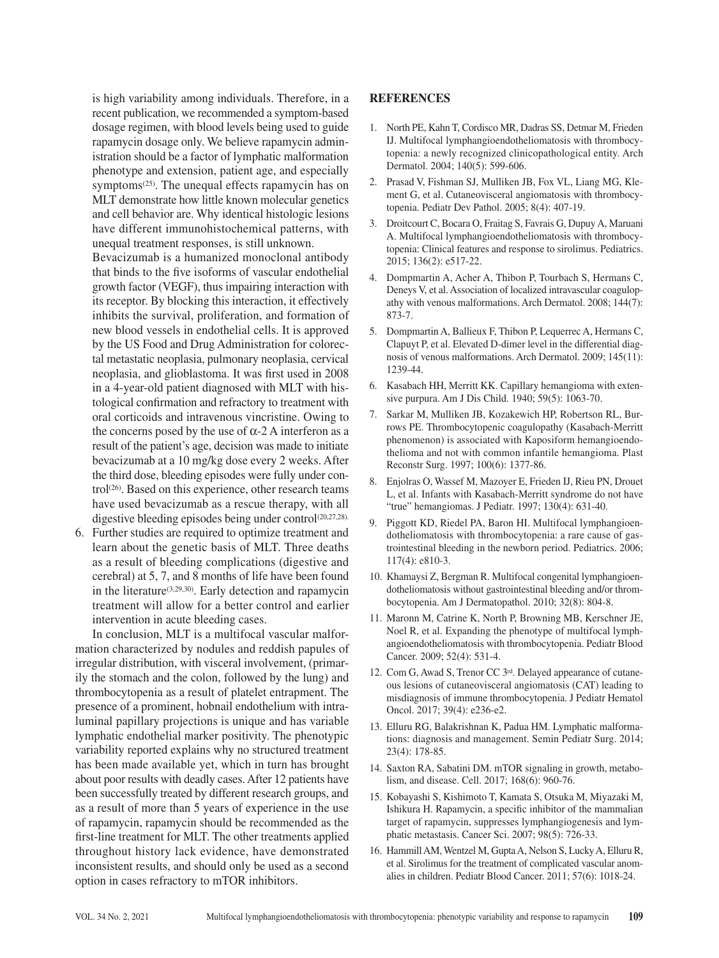is high variability among individuals. Therefore, in a recent publication, we recommended a symptom-based dosage regimen, with blood levels being used to guide rapamycin dosage only. We believe rapamycin administration should be a factor of lymphatic malformation phenotype and extension, patient age, and especially symptoms $(25)$ . The unequal effects rapamycin has on MLT demonstrate how little known molecular genetics and cell behavior are. Why identical histologic lesions have different immunohistochemical patterns, with unequal treatment responses, is still unknown.

Bevacizumab is a humanized monoclonal antibody that binds to the five isoforms of vascular endothelial growth factor (VEGF), thus impairing interaction with its receptor. By blocking this interaction, it effectively inhibits the survival, proliferation, and formation of new blood vessels in endothelial cells. It is approved by the US Food and Drug Administration for colorectal metastatic neoplasia, pulmonary neoplasia, cervical neoplasia, and glioblastoma. It was first used in 2008 in a 4-year-old patient diagnosed with MLT with histological confirmation and refractory to treatment with oral corticoids and intravenous vincristine. Owing to the concerns posed by the use of  $\alpha$ -2 A interferon as a result of the patient's age, decision was made to initiate bevacizumab at a 10 mg/kg dose every 2 weeks. After the third dose, bleeding episodes were fully under control<sup>(26)</sup>. Based on this experience, other research teams have used bevacizumab as a rescue therapy, with all digestive bleeding episodes being under control<sup>(20,27,28).</sup>

6. Further studies are required to optimize treatment and learn about the genetic basis of MLT. Three deaths as a result of bleeding complications (digestive and cerebral) at 5, 7, and 8 months of life have been found in the literature(3,29,30). Early detection and rapamycin treatment will allow for a better control and earlier intervention in acute bleeding cases.

In conclusion, MLT is a multifocal vascular malformation characterized by nodules and reddish papules of irregular distribution, with visceral involvement, (primarily the stomach and the colon, followed by the lung) and thrombocytopenia as a result of platelet entrapment. The presence of a prominent, hobnail endothelium with intraluminal papillary projections is unique and has variable lymphatic endothelial marker positivity. The phenotypic variability reported explains why no structured treatment has been made available yet, which in turn has brought about poor results with deadly cases. After 12 patients have been successfully treated by different research groups, and as a result of more than 5 years of experience in the use of rapamycin, rapamycin should be recommended as the first-line treatment for MLT. The other treatments applied throughout history lack evidence, have demonstrated inconsistent results, and should only be used as a second option in cases refractory to mTOR inhibitors.

## **REFERENCES**

- 1. North PE, Kahn T, Cordisco MR, Dadras SS, Detmar M, Frieden IJ. Multifocal lymphangioendotheliomatosis with thrombocytopenia: a newly recognized clinicopathological entity. Arch Dermatol. 2004; 140(5): 599-606.
- 2. Prasad V, Fishman SJ, Mulliken JB, Fox VL, Liang MG, Klement G, et al. Cutaneovisceral angiomatosis with thrombocytopenia. Pediatr Dev Pathol. 2005; 8(4): 407-19.
- 3. Droitcourt C, Bocara O, Fraitag S, Favrais G, Dupuy A, Maruani A. Multifocal lymphangioendotheliomatosis with thrombocytopenia: Clinical features and response to sirolimus. Pediatrics. 2015; 136(2): e517-22.
- 4. Dompmartin A, Acher A, Thibon P, Tourbach S, Hermans C, Deneys V, et al. Association of localized intravascular coagulopathy with venous malformations. Arch Dermatol. 2008; 144(7): 873-7.
- 5. Dompmartin A, Ballieux F, Thibon P, Lequerrec A, Hermans C, Clapuyt P, et al. Elevated D-dimer level in the differential diagnosis of venous malformations. Arch Dermatol. 2009; 145(11): 1239-44.
- 6. Kasabach HH, Merritt KK. Capillary hemangioma with extensive purpura. Am J Dis Child. 1940; 59(5): 1063-70.
- 7. Sarkar M, Mulliken JB, Kozakewich HP, Robertson RL, Burrows PE. Thrombocytopenic coagulopathy (Kasabach-Merritt phenomenon) is associated with Kaposiform hemangioendothelioma and not with common infantile hemangioma. Plast Reconstr Surg. 1997; 100(6): 1377-86.
- 8. Enjolras O, Wassef M, Mazoyer E, Frieden IJ, Rieu PN, Drouet L, et al. Infants with Kasabach-Merritt syndrome do not have "true" hemangiomas. J Pediatr. 1997; 130(4): 631-40.
- 9. Piggott KD, Riedel PA, Baron HI. Multifocal lymphangioendotheliomatosis with thrombocytopenia: a rare cause of gastrointestinal bleeding in the newborn period. Pediatrics. 2006; 117(4): e810-3.
- 10. Khamaysi Z, Bergman R. Multifocal congenital lymphangioendotheliomatosis without gastrointestinal bleeding and/or thrombocytopenia. Am J Dermatopathol. 2010; 32(8): 804-8.
- 11. Maronn M, Catrine K, North P, Browning MB, Kerschner JE, Noel R, et al. Expanding the phenotype of multifocal lymphangioendotheliomatosis with thrombocytopenia. Pediatr Blood Cancer. 2009; 52(4): 531-4.
- 12. Com G, Awad S, Trenor CC 3rd. Delayed appearance of cutaneous lesions of cutaneovisceral angiomatosis (CAT) leading to misdiagnosis of immune thrombocytopenia. J Pediatr Hematol Oncol. 2017; 39(4): e236-e2.
- 13. Elluru RG, Balakrishnan K, Padua HM. Lymphatic malformations: diagnosis and management. Semin Pediatr Surg. 2014; 23(4): 178-85.
- 14. Saxton RA, Sabatini DM. mTOR signaling in growth, metabolism, and disease. Cell. 2017; 168(6): 960-76.
- 15. Kobayashi S, Kishimoto T, Kamata S, Otsuka M, Miyazaki M, Ishikura H. Rapamycin, a specific inhibitor of the mammalian target of rapamycin, suppresses lymphangiogenesis and lymphatic metastasis. Cancer Sci. 2007; 98(5): 726-33.
- 16. Hammill AM, Wentzel M, Gupta A, Nelson S, Lucky A, Elluru R, et al. Sirolimus for the treatment of complicated vascular anomalies in children. Pediatr Blood Cancer. 2011; 57(6): 1018-24.